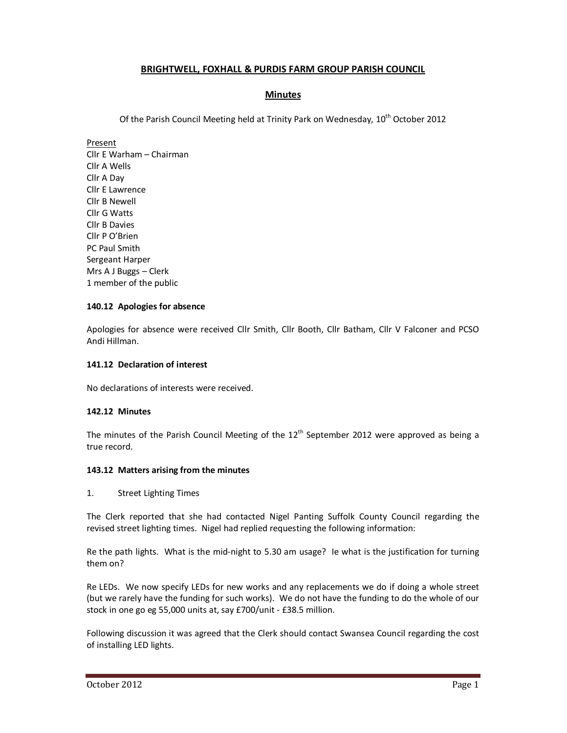# **BRIGHTWELL, FOXHALL & PURDIS FARM GROUP PARISH COUNCIL**

# **Minutes**

Of the Parish Council Meeting held at Trinity Park on Wednesday, 10<sup>th</sup> October 2012

Present Cllr E Warham – Chairman Cllr A Wells Cllr A Day Cllr E Lawrence Cllr B Newell Cllr G Watts Cllr B Davies Cllr P O'Brien PC Paul Smith Sergeant Harper Mrs A J Buggs – Clerk 1 member of the public

## **140.12 Apologies for absence**

Apologies for absence were received Cllr Smith, Cllr Booth, Cllr Batham, Cllr V Falconer and PCSO Andi Hillman.

## **141.12 Declaration of interest**

No declarations of interests were received.

## **142.12 Minutes**

The minutes of the Parish Council Meeting of the  $12<sup>th</sup>$  September 2012 were approved as being a true record.

## **143.12 Matters arising from the minutes**

1. Street Lighting Times

The Clerk reported that she had contacted Nigel Panting Suffolk County Council regarding the revised street lighting times. Nigel had replied requesting the following information:

Re the path lights. What is the mid-night to 5.30 am usage? Ie what is the justification for turning them on?

Re LEDs. We now specify LEDs for new works and any replacements we do if doing a whole street (but we rarely have the funding for such works). We do not have the funding to do the whole of our stock in one go eg 55,000 units at, say £700/unit - £38.5 million.

Following discussion it was agreed that the Clerk should contact Swansea Council regarding the cost of installing LED lights.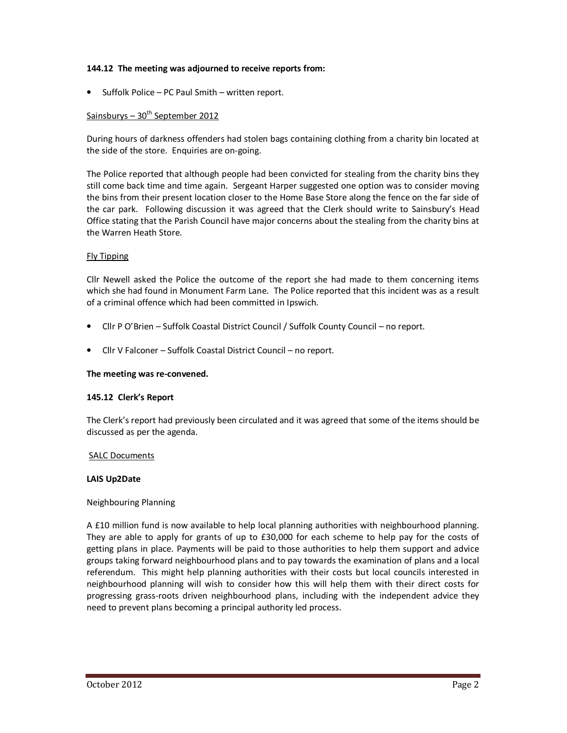## **144.12 The meeting was adjourned to receive reports from:**

• Suffolk Police – PC Paul Smith – written report.

## Sainsburys  $-30^{th}$  September 2012

During hours of darkness offenders had stolen bags containing clothing from a charity bin located at the side of the store. Enquiries are on-going.

The Police reported that although people had been convicted for stealing from the charity bins they still come back time and time again. Sergeant Harper suggested one option was to consider moving the bins from their present location closer to the Home Base Store along the fence on the far side of the car park. Following discussion it was agreed that the Clerk should write to Sainsbury's Head Office stating that the Parish Council have major concerns about the stealing from the charity bins at the Warren Heath Store.

## Fly Tipping

Cllr Newell asked the Police the outcome of the report she had made to them concerning items which she had found in Monument Farm Lane. The Police reported that this incident was as a result of a criminal offence which had been committed in Ipswich.

- Cllr P O'Brien Suffolk Coastal District Council / Suffolk County Council no report.
- Cllr V Falconer Suffolk Coastal District Council no report.

### **The meeting was re-convened.**

### **145.12 Clerk's Report**

The Clerk's report had previously been circulated and it was agreed that some of the items should be discussed as per the agenda.

### SALC Documents

### **LAIS Up2Date**

### Neighbouring Planning

A £10 million fund is now available to help local planning authorities with neighbourhood planning. They are able to apply for grants of up to £30,000 for each scheme to help pay for the costs of getting plans in place. Payments will be paid to those authorities to help them support and advice groups taking forward neighbourhood plans and to pay towards the examination of plans and a local referendum. This might help planning authorities with their costs but local councils interested in neighbourhood planning will wish to consider how this will help them with their direct costs for progressing grass-roots driven neighbourhood plans, including with the independent advice they need to prevent plans becoming a principal authority led process.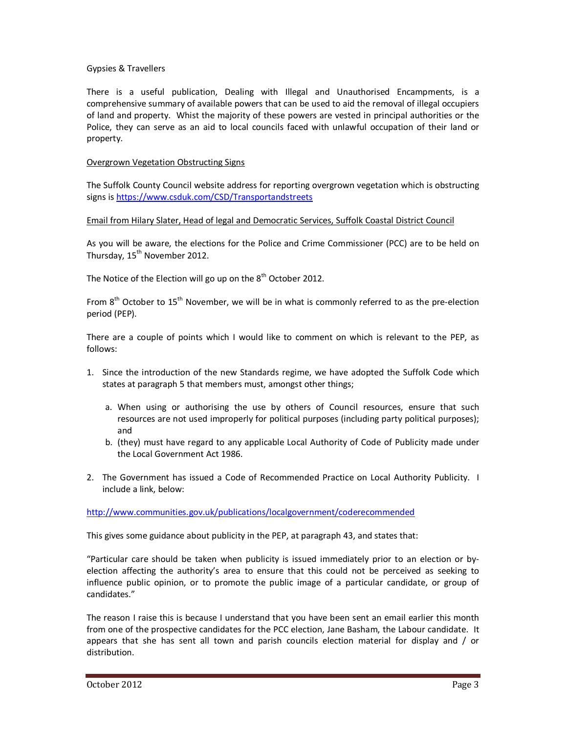## Gypsies & Travellers

There is a useful publication, Dealing with Illegal and Unauthorised Encampments, is a comprehensive summary of available powers that can be used to aid the removal of illegal occupiers of land and property. Whist the majority of these powers are vested in principal authorities or the Police, they can serve as an aid to local councils faced with unlawful occupation of their land or property.

## Overgrown Vegetation Obstructing Signs

The Suffolk County Council website address for reporting overgrown vegetation which is obstructing signs is https://www.csduk.com/CSD/Transportandstreets

### Email from Hilary Slater, Head of legal and Democratic Services, Suffolk Coastal District Council

As you will be aware, the elections for the Police and Crime Commissioner (PCC) are to be held on Thursday, 15<sup>th</sup> November 2012.

The Notice of the Election will go up on the  $8<sup>th</sup>$  October 2012.

From 8<sup>th</sup> October to 15<sup>th</sup> November, we will be in what is commonly referred to as the pre-election period (PEP).

There are a couple of points which I would like to comment on which is relevant to the PEP, as follows:

- 1. Since the introduction of the new Standards regime, we have adopted the Suffolk Code which states at paragraph 5 that members must, amongst other things;
	- a. When using or authorising the use by others of Council resources, ensure that such resources are not used improperly for political purposes (including party political purposes); and
	- b. (they) must have regard to any applicable Local Authority of Code of Publicity made under the Local Government Act 1986.
- 2. The Government has issued a Code of Recommended Practice on Local Authority Publicity. I include a link, below:

http://www.communities.gov.uk/publications/localgovernment/coderecommended

This gives some guidance about publicity in the PEP, at paragraph 43, and states that:

"Particular care should be taken when publicity is issued immediately prior to an election or byelection affecting the authority's area to ensure that this could not be perceived as seeking to influence public opinion, or to promote the public image of a particular candidate, or group of candidates."

The reason I raise this is because I understand that you have been sent an email earlier this month from one of the prospective candidates for the PCC election, Jane Basham, the Labour candidate. It appears that she has sent all town and parish councils election material for display and / or distribution.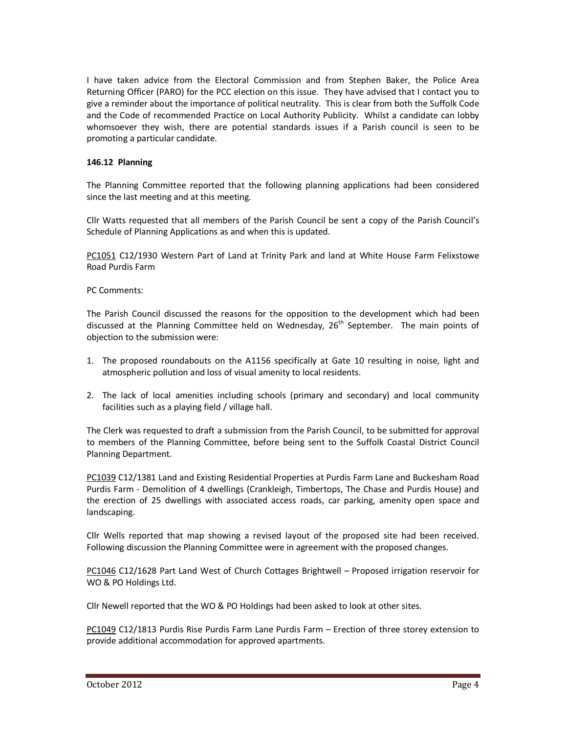I have taken advice from the Electoral Commission and from Stephen Baker, the Police Area Returning Officer (PARO) for the PCC election on this issue. They have advised that I contact you to give a reminder about the importance of political neutrality. This is clear from both the Suffolk Code and the Code of recommended Practice on Local Authority Publicity. Whilst a candidate can lobby whomsoever they wish, there are potential standards issues if a Parish council is seen to be promoting a particular candidate.

## **146.12 Planning**

The Planning Committee reported that the following planning applications had been considered since the last meeting and at this meeting.

Cllr Watts requested that all members of the Parish Council be sent a copy of the Parish Council's Schedule of Planning Applications as and when this is updated.

PC1051 C12/1930 Western Part of Land at Trinity Park and land at White House Farm Felixstowe Road Purdis Farm

PC Comments:

The Parish Council discussed the reasons for the opposition to the development which had been discussed at the Planning Committee held on Wednesday,  $26<sup>th</sup>$  September. The main points of objection to the submission were:

- 1. The proposed roundabouts on the A1156 specifically at Gate 10 resulting in noise, light and atmospheric pollution and loss of visual amenity to local residents.
- 2. The lack of local amenities including schools (primary and secondary) and local community facilities such as a playing field / village hall.

The Clerk was requested to draft a submission from the Parish Council, to be submitted for approval to members of the Planning Committee, before being sent to the Suffolk Coastal District Council Planning Department.

PC1039 C12/1381 Land and Existing Residential Properties at Purdis Farm Lane and Buckesham Road Purdis Farm - Demolition of 4 dwellings (Crankleigh, Timbertops, The Chase and Purdis House) and the erection of 25 dwellings with associated access roads, car parking, amenity open space and landscaping.

Cllr Wells reported that map showing a revised layout of the proposed site had been received. Following discussion the Planning Committee were in agreement with the proposed changes.

PC1046 C12/1628 Part Land West of Church Cottages Brightwell – Proposed irrigation reservoir for WO & PO Holdings Ltd.

Cllr Newell reported that the WO & PO Holdings had been asked to look at other sites.

PC1049 C12/1813 Purdis Rise Purdis Farm Lane Purdis Farm – Erection of three storey extension to provide additional accommodation for approved apartments.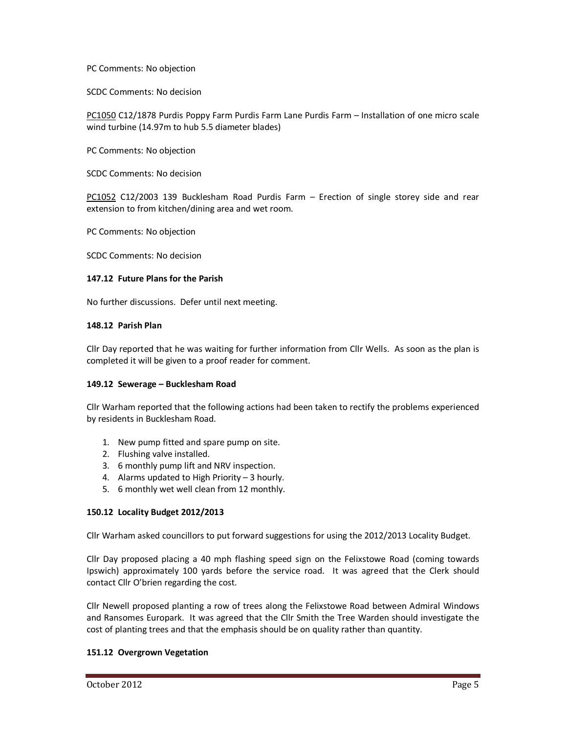PC Comments: No objection

SCDC Comments: No decision

PC1050 C12/1878 Purdis Poppy Farm Purdis Farm Lane Purdis Farm – Installation of one micro scale wind turbine (14.97m to hub 5.5 diameter blades)

PC Comments: No objection

SCDC Comments: No decision

PC1052 C12/2003 139 Bucklesham Road Purdis Farm – Erection of single storey side and rear extension to from kitchen/dining area and wet room.

PC Comments: No objection

SCDC Comments: No decision

### **147.12 Future Plans for the Parish**

No further discussions. Defer until next meeting.

## **148.12 Parish Plan**

Cllr Day reported that he was waiting for further information from Cllr Wells. As soon as the plan is completed it will be given to a proof reader for comment.

### **149.12 Sewerage – Bucklesham Road**

Cllr Warham reported that the following actions had been taken to rectify the problems experienced by residents in Bucklesham Road.

- 1. New pump fitted and spare pump on site.
- 2. Flushing valve installed.
- 3. 6 monthly pump lift and NRV inspection.
- 4. Alarms updated to High Priority 3 hourly.
- 5. 6 monthly wet well clean from 12 monthly.

## **150.12 Locality Budget 2012/2013**

Cllr Warham asked councillors to put forward suggestions for using the 2012/2013 Locality Budget.

Cllr Day proposed placing a 40 mph flashing speed sign on the Felixstowe Road (coming towards Ipswich) approximately 100 yards before the service road. It was agreed that the Clerk should contact Cllr O'brien regarding the cost.

Cllr Newell proposed planting a row of trees along the Felixstowe Road between Admiral Windows and Ransomes Europark. It was agreed that the Cllr Smith the Tree Warden should investigate the cost of planting trees and that the emphasis should be on quality rather than quantity.

### **151.12 Overgrown Vegetation**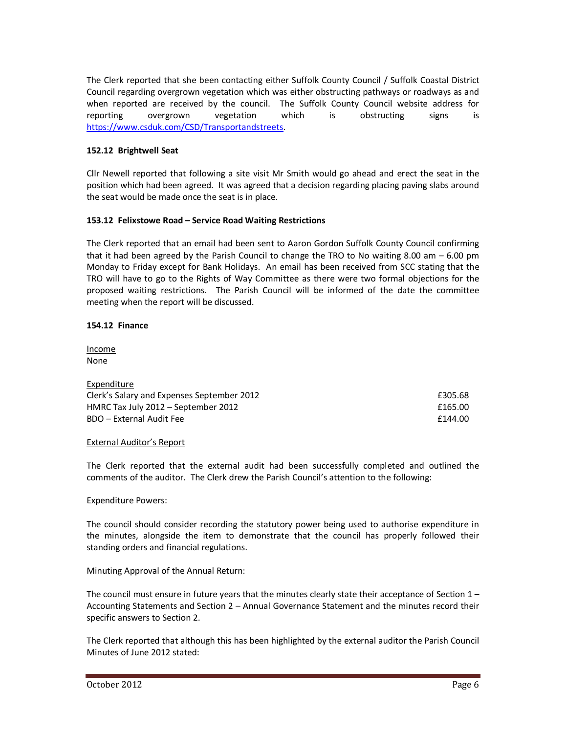The Clerk reported that she been contacting either Suffolk County Council / Suffolk Coastal District Council regarding overgrown vegetation which was either obstructing pathways or roadways as and when reported are received by the council. The Suffolk County Council website address for reporting overgrown vegetation which is obstructing signs is https://www.csduk.com/CSD/Transportandstreets.

# **152.12 Brightwell Seat**

Cllr Newell reported that following a site visit Mr Smith would go ahead and erect the seat in the position which had been agreed. It was agreed that a decision regarding placing paving slabs around the seat would be made once the seat is in place.

## **153.12 Felixstowe Road – Service Road Waiting Restrictions**

The Clerk reported that an email had been sent to Aaron Gordon Suffolk County Council confirming that it had been agreed by the Parish Council to change the TRO to No waiting 8.00 am – 6.00 pm Monday to Friday except for Bank Holidays. An email has been received from SCC stating that the TRO will have to go to the Rights of Way Committee as there were two formal objections for the proposed waiting restrictions. The Parish Council will be informed of the date the committee meeting when the report will be discussed.

## **154.12 Finance**

Income None

Expenditure

| £305.68 |
|---------|
| £165.00 |
| £144.00 |
|         |

## External Auditor's Report

The Clerk reported that the external audit had been successfully completed and outlined the comments of the auditor. The Clerk drew the Parish Council's attention to the following:

## Expenditure Powers:

The council should consider recording the statutory power being used to authorise expenditure in the minutes, alongside the item to demonstrate that the council has properly followed their standing orders and financial regulations.

## Minuting Approval of the Annual Return:

The council must ensure in future years that the minutes clearly state their acceptance of Section  $1 -$ Accounting Statements and Section 2 – Annual Governance Statement and the minutes record their specific answers to Section 2.

The Clerk reported that although this has been highlighted by the external auditor the Parish Council Minutes of June 2012 stated: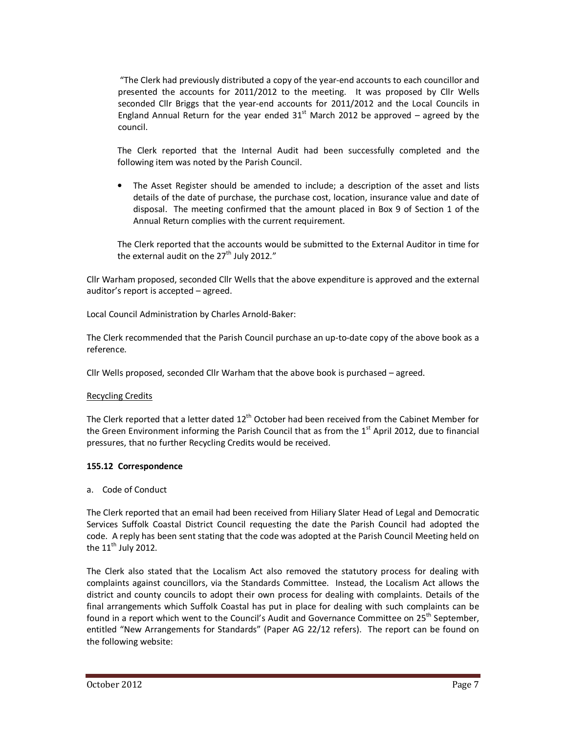"The Clerk had previously distributed a copy of the year-end accounts to each councillor and presented the accounts for 2011/2012 to the meeting. It was proposed by Cllr Wells seconded Cllr Briggs that the year-end accounts for 2011/2012 and the Local Councils in England Annual Return for the year ended  $31<sup>st</sup>$  March 2012 be approved – agreed by the council.

The Clerk reported that the Internal Audit had been successfully completed and the following item was noted by the Parish Council.

• The Asset Register should be amended to include; a description of the asset and lists details of the date of purchase, the purchase cost, location, insurance value and date of disposal. The meeting confirmed that the amount placed in Box 9 of Section 1 of the Annual Return complies with the current requirement.

The Clerk reported that the accounts would be submitted to the External Auditor in time for the external audit on the  $27<sup>th</sup>$  July 2012."

Cllr Warham proposed, seconded Cllr Wells that the above expenditure is approved and the external auditor's report is accepted – agreed.

Local Council Administration by Charles Arnold-Baker:

The Clerk recommended that the Parish Council purchase an up-to-date copy of the above book as a reference.

Cllr Wells proposed, seconded Cllr Warham that the above book is purchased – agreed.

### Recycling Credits

The Clerk reported that a letter dated  $12<sup>th</sup>$  October had been received from the Cabinet Member for the Green Environment informing the Parish Council that as from the  $1<sup>st</sup>$  April 2012, due to financial pressures, that no further Recycling Credits would be received.

### **155.12 Correspondence**

a. Code of Conduct

The Clerk reported that an email had been received from Hiliary Slater Head of Legal and Democratic Services Suffolk Coastal District Council requesting the date the Parish Council had adopted the code. A reply has been sent stating that the code was adopted at the Parish Council Meeting held on the  $11^{\text{th}}$  July 2012.

The Clerk also stated that the Localism Act also removed the statutory process for dealing with complaints against councillors, via the Standards Committee. Instead, the Localism Act allows the district and county councils to adopt their own process for dealing with complaints. Details of the final arrangements which Suffolk Coastal has put in place for dealing with such complaints can be found in a report which went to the Council's Audit and Governance Committee on 25<sup>th</sup> September, entitled "New Arrangements for Standards" (Paper AG 22/12 refers). The report can be found on the following website: